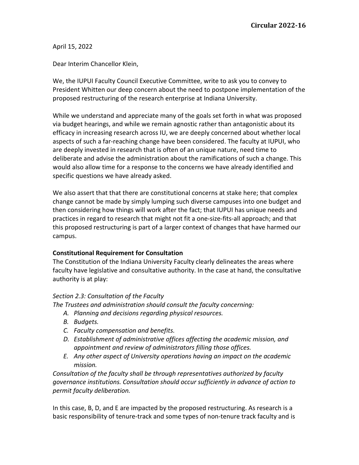April 15, 2022

Dear Interim Chancellor Klein,

We, the IUPUI Faculty Council Executive Committee, write to ask you to convey to President Whitten our deep concern about the need to postpone implementation of the proposed restructuring of the research enterprise at Indiana University.

While we understand and appreciate many of the goals set forth in what was proposed via budget hearings, and while we remain agnostic rather than antagonistic about its efficacy in increasing research across IU, we are deeply concerned about whether local aspects of such a far-reaching change have been considered. The faculty at IUPUI, who are deeply invested in research that is often of an unique nature, need time to deliberate and advise the administration about the ramifications of such a change. This would also allow time for a response to the concerns we have already identified and specific questions we have already asked.

We also assert that that there are constitutional concerns at stake here; that complex change cannot be made by simply lumping such diverse campuses into one budget and then considering how things will work after the fact; that IUPUI has unique needs and practices in regard to research that might not fit a one-size-fits-all approach; and that this proposed restructuring is part of a larger context of changes that have harmed our campus.

# **Constitutional Requirement for Consultation**

The Constitution of the Indiana University Faculty clearly delineates the areas where faculty have legislative and consultative authority. In the case at hand, the consultative authority is at play:

# *Section 2.3: Consultation of the Faculty*

*The Trustees and administration should consult the faculty concerning:*

- *A. Planning and decisions regarding physical resources.*
- *B. Budgets.*
- *C. Faculty compensation and benefits.*
- *D. Establishment of administrative offices affecting the academic mission, and appointment and review of administrators filling those offices.*
- *E. Any other aspect of University operations having an impact on the academic mission.*

*Consultation of the faculty shall be through representatives authorized by faculty governance institutions. Consultation should occur sufficiently in advance of action to permit faculty deliberation.*

In this case, B, D, and E are impacted by the proposed restructuring. As research is a basic responsibility of tenure-track and some types of non-tenure track faculty and is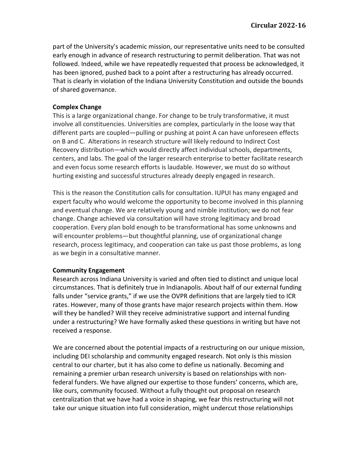part of the University's academic mission, our representative units need to be consulted early enough in advance of research restructuring to permit deliberation. That was not followed. Indeed, while we have repeatedly requested that process be acknowledged, it has been ignored, pushed back to a point after a restructuring has already occurred. That is clearly in violation of the Indiana University Constitution and outside the bounds of shared governance.

## **Complex Change**

This is a large organizational change. For change to be truly transformative, it must involve all constituencies. Universities are complex, particularly in the loose way that different parts are coupled—pulling or pushing at point A can have unforeseen effects on B and C. Alterations in research structure will likely redound to Indirect Cost Recovery distribution—which would directly affect individual schools, departments, centers, and labs. The goal of the larger research enterprise to better facilitate research and even focus some research efforts is laudable. However, we must do so without hurting existing and successful structures already deeply engaged in research.

This is the reason the Constitution calls for consultation. IUPUI has many engaged and expert faculty who would welcome the opportunity to become involved in this planning and eventual change. We are relatively young and nimble institution; we do not fear change. Change achieved via consultation will have strong legitimacy and broad cooperation. Every plan bold enough to be transformational has some unknowns and will encounter problems—but thoughtful planning, use of organizational change research, process legitimacy, and cooperation can take us past those problems, as long as we begin in a consultative manner.

#### **Community Engagement**

Research across Indiana University is varied and often tied to distinct and unique local circumstances. That is definitely true in Indianapolis. About half of our external funding falls under "service grants," if we use the OVPR definitions that are largely tied to ICR rates. However, many of those grants have major research projects within them. How will they be handled? Will they receive administrative support and internal funding under a restructuring? We have formally asked these questions in writing but have not received a response.

We are concerned about the potential impacts of a restructuring on our unique mission, including DEI scholarship and community engaged research. Not only is this mission central to our charter, but it has also come to define us nationally. Becoming and remaining a premier urban research university is based on relationships with nonfederal funders. We have aligned our expertise to those funders' concerns, which are, like ours, community focused. Without a fully thought out proposal on research centralization that we have had a voice in shaping, we fear this restructuring will not take our unique situation into full consideration, might undercut those relationships